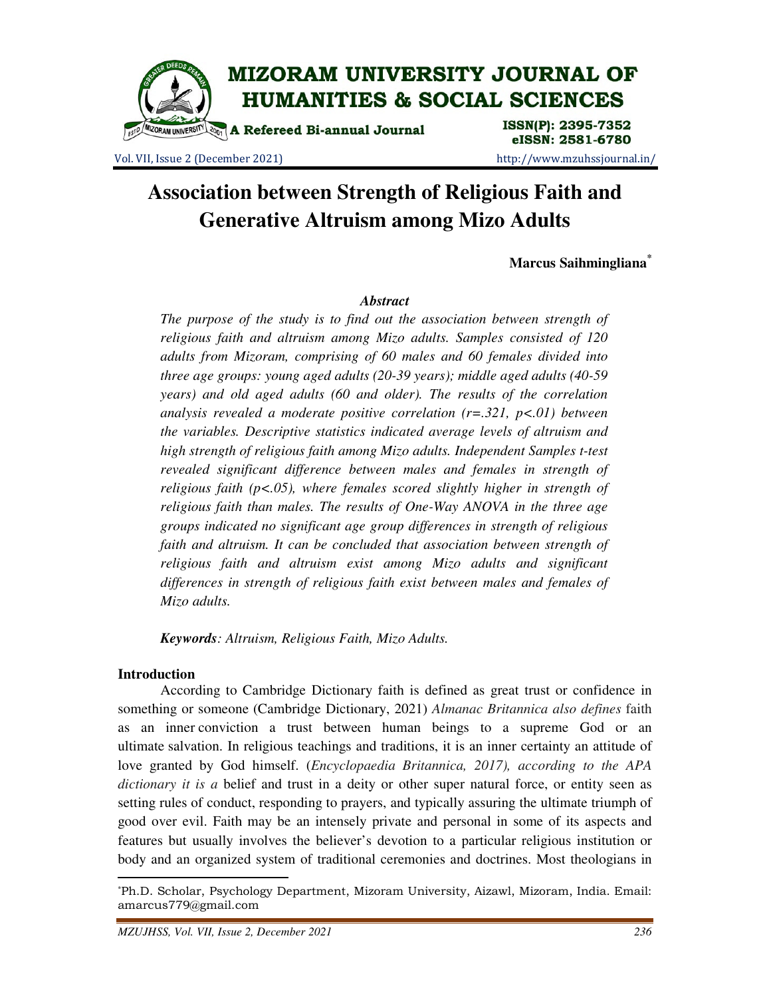

Vol. VII, Issue 2 (December 2021) http://www.mzuhssjournal.in/

# **Association between Strength of Religious Faith and Generative Altruism among Mizo Adults**

**Marcus Saihmingliana\***

# *Abstract*

*The purpose of the study is to find out the association between strength of religious faith and altruism among Mizo adults. Samples consisted of 120 adults from Mizoram, comprising of 60 males and 60 females divided into three age groups: young aged adults (20-39 years); middle aged adults (40-59 years) and old aged adults (60 and older). The results of the correlation analysis revealed a moderate positive correlation (r=.321, p<.01) between the variables. Descriptive statistics indicated average levels of altruism and high strength of religious faith among Mizo adults. Independent Samples t-test revealed significant difference between males and females in strength of religious faith (p<.05), where females scored slightly higher in strength of religious faith than males. The results of One-Way ANOVA in the three age groups indicated no significant age group differences in strength of religious faith and altruism. It can be concluded that association between strength of religious faith and altruism exist among Mizo adults and significant differences in strength of religious faith exist between males and females of Mizo adults.* 

*Keywords: Altruism, Religious Faith, Mizo Adults.* 

#### **Introduction**

 $\overline{a}$ 

 According to Cambridge Dictionary faith is defined as great trust or confidence in something or someone (Cambridge Dictionary, 2021) *Almanac Britannica also defines* faith as an inner conviction a trust between human beings to a supreme God or an ultimate salvation. In religious teachings and traditions, it is an inner certainty an attitude of love granted by God himself. (*Encyclopaedia Britannica, 2017), according to the APA dictionary it is a* belief and trust in a deity or other super natural force, or entity seen as setting rules of conduct, responding to prayers, and typically assuring the ultimate triumph of good over evil. Faith may be an intensely private and personal in some of its aspects and features but usually involves the believer's devotion to a particular religious institution or body and an organized system of traditional ceremonies and doctrines. Most theologians in

<sup>\*</sup>Ph.D. Scholar, Psychology Department, Mizoram University, Aizawl, Mizoram, India. Email: amarcus779@gmail.com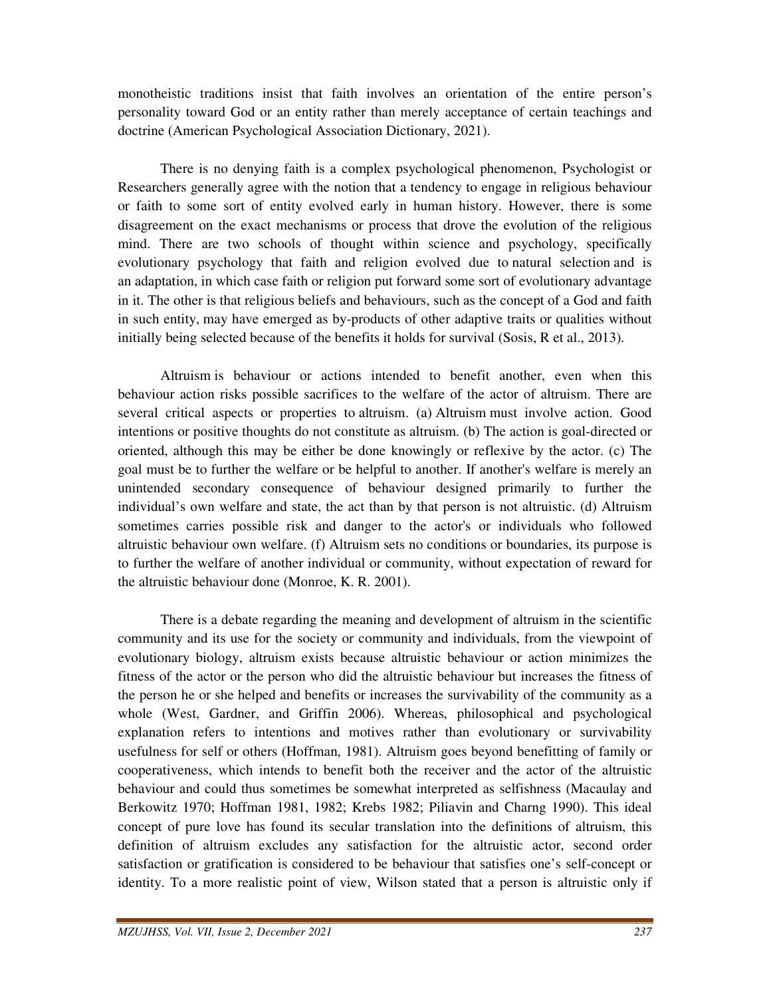monotheistic traditions insist that faith involves an orientation of the entire person's personality toward God or an entity rather than merely acceptance of certain teachings and doctrine (American Psychological Association Dictionary, 2021).

 There is no denying faith is a complex psychological phenomenon, Psychologist or Researchers generally agree with the notion that a tendency to engage in religious behaviour or faith to some sort of entity evolved early in human history. However, there is some disagreement on the exact mechanisms or process that drove the evolution of the religious mind. There are two schools of thought within science and psychology, specifically evolutionary psychology that faith and religion evolved due to natural selection and is an adaptation, in which case faith or religion put forward some sort of evolutionary advantage in it. The other is that religious beliefs and behaviours, such as the concept of a God and faith in such entity, may have emerged as by-products of other adaptive traits or qualities without initially being selected because of the benefits it holds for survival (Sosis, R et al., 2013).

 Altruism is behaviour or actions intended to benefit another, even when this behaviour action risks possible sacrifices to the welfare of the actor of altruism. There are several critical aspects or properties to altruism. (a) Altruism must involve action. Good intentions or positive thoughts do not constitute as altruism. (b) The action is goal-directed or oriented, although this may be either be done knowingly or reflexive by the actor. (c) The goal must be to further the welfare or be helpful to another. If another's welfare is merely an unintended secondary consequence of behaviour designed primarily to further the individual's own welfare and state, the act than by that person is not altruistic. (d) Altruism sometimes carries possible risk and danger to the actor's or individuals who followed altruistic behaviour own welfare. (f) Altruism sets no conditions or boundaries, its purpose is to further the welfare of another individual or community, without expectation of reward for the altruistic behaviour done (Monroe, K. R. 2001).

 There is a debate regarding the meaning and development of altruism in the scientific community and its use for the society or community and individuals, from the viewpoint of evolutionary biology, altruism exists because altruistic behaviour or action minimizes the fitness of the actor or the person who did the altruistic behaviour but increases the fitness of the person he or she helped and benefits or increases the survivability of the community as a whole (West, Gardner, and Griffin 2006). Whereas, philosophical and psychological explanation refers to intentions and motives rather than evolutionary or survivability usefulness for self or others (Hoffman, 1981). Altruism goes beyond benefitting of family or cooperativeness, which intends to benefit both the receiver and the actor of the altruistic behaviour and could thus sometimes be somewhat interpreted as selfishness (Macaulay and Berkowitz 1970; Hoffman 1981, 1982; Krebs 1982; Piliavin and Charng 1990). This ideal concept of pure love has found its secular translation into the definitions of altruism, this definition of altruism excludes any satisfaction for the altruistic actor, second order satisfaction or gratification is considered to be behaviour that satisfies one's self-concept or identity. To a more realistic point of view, Wilson stated that a person is altruistic only if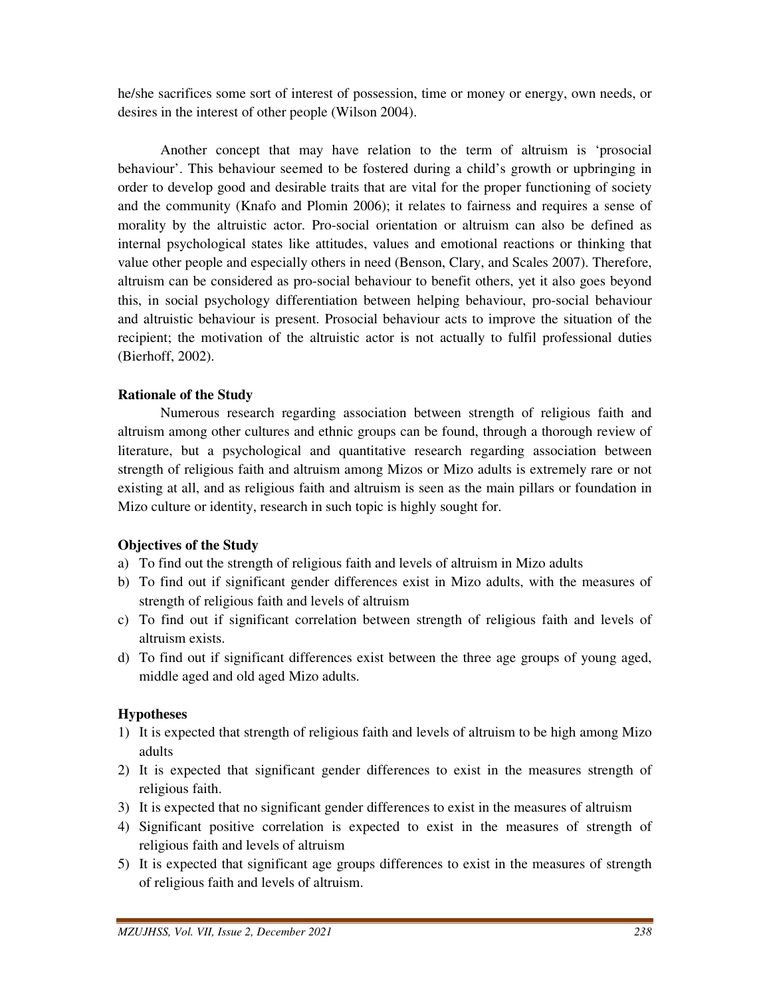he/she sacrifices some sort of interest of possession, time or money or energy, own needs, or desires in the interest of other people (Wilson 2004).

 Another concept that may have relation to the term of altruism is 'prosocial behaviour'. This behaviour seemed to be fostered during a child's growth or upbringing in order to develop good and desirable traits that are vital for the proper functioning of society and the community (Knafo and Plomin 2006); it relates to fairness and requires a sense of morality by the altruistic actor. Pro-social orientation or altruism can also be defined as internal psychological states like attitudes, values and emotional reactions or thinking that value other people and especially others in need (Benson, Clary, and Scales 2007). Therefore, altruism can be considered as pro-social behaviour to benefit others, yet it also goes beyond this, in social psychology differentiation between helping behaviour, pro-social behaviour and altruistic behaviour is present. Prosocial behaviour acts to improve the situation of the recipient; the motivation of the altruistic actor is not actually to fulfil professional duties (Bierhoff, 2002).

# **Rationale of the Study**

Numerous research regarding association between strength of religious faith and altruism among other cultures and ethnic groups can be found, through a thorough review of literature, but a psychological and quantitative research regarding association between strength of religious faith and altruism among Mizos or Mizo adults is extremely rare or not existing at all, and as religious faith and altruism is seen as the main pillars or foundation in Mizo culture or identity, research in such topic is highly sought for.

# **Objectives of the Study**

- a) To find out the strength of religious faith and levels of altruism in Mizo adults
- b) To find out if significant gender differences exist in Mizo adults, with the measures of strength of religious faith and levels of altruism
- c) To find out if significant correlation between strength of religious faith and levels of altruism exists.
- d) To find out if significant differences exist between the three age groups of young aged, middle aged and old aged Mizo adults.

#### **Hypotheses**

- 1) It is expected that strength of religious faith and levels of altruism to be high among Mizo adults
- 2) It is expected that significant gender differences to exist in the measures strength of religious faith.
- 3) It is expected that no significant gender differences to exist in the measures of altruism
- 4) Significant positive correlation is expected to exist in the measures of strength of religious faith and levels of altruism
- 5) It is expected that significant age groups differences to exist in the measures of strength of religious faith and levels of altruism.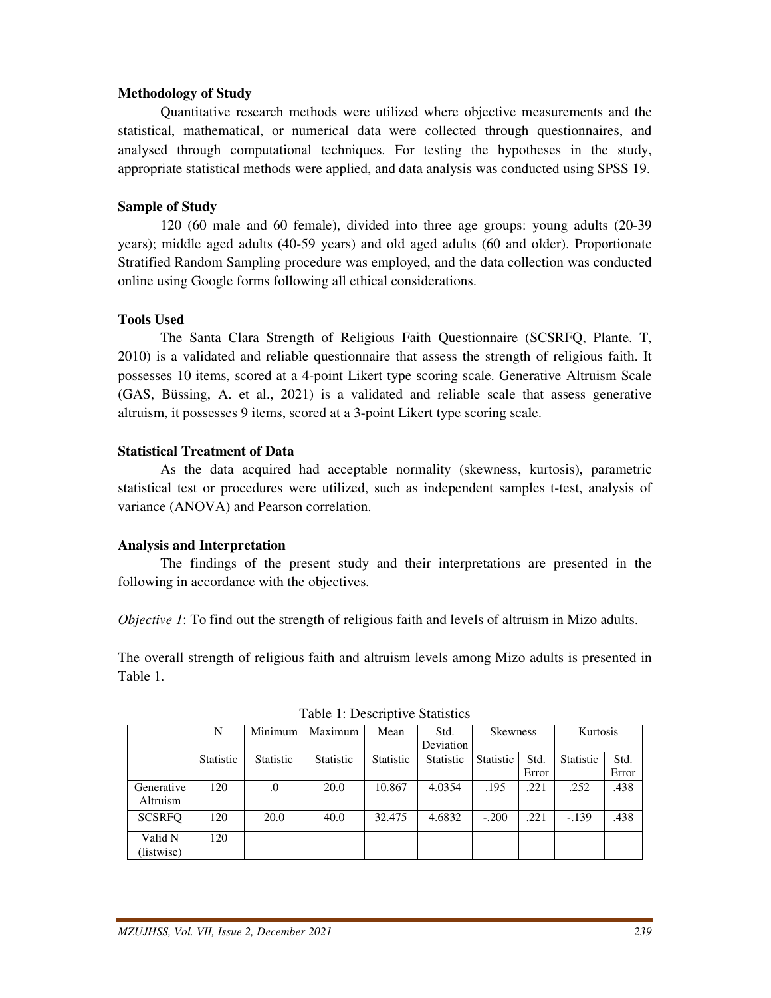# **Methodology of Study**

 Quantitative research methods were utilized where objective measurements and the statistical, mathematical, or numerical data were collected through questionnaires, and analysed through computational techniques. For testing the hypotheses in the study, appropriate statistical methods were applied, and data analysis was conducted using SPSS 19.

### **Sample of Study**

 120 (60 male and 60 female), divided into three age groups: young adults (20-39 years); middle aged adults (40-59 years) and old aged adults (60 and older). Proportionate Stratified Random Sampling procedure was employed, and the data collection was conducted online using Google forms following all ethical considerations.

#### **Tools Used**

 The Santa Clara Strength of Religious Faith Questionnaire (SCSRFQ, Plante. T, 2010) is a validated and reliable questionnaire that assess the strength of religious faith. It possesses 10 items, scored at a 4-point Likert type scoring scale. Generative Altruism Scale (GAS, Büssing, A. et al., 2021) is a validated and reliable scale that assess generative altruism, it possesses 9 items, scored at a 3-point Likert type scoring scale.

### **Statistical Treatment of Data**

 As the data acquired had acceptable normality (skewness, kurtosis), parametric statistical test or procedures were utilized, such as independent samples t-test, analysis of variance (ANOVA) and Pearson correlation.

# **Analysis and Interpretation**

 The findings of the present study and their interpretations are presented in the following in accordance with the objectives.

*Objective 1*: To find out the strength of religious faith and levels of altruism in Mizo adults.

The overall strength of religious faith and altruism levels among Mizo adults is presented in Table 1.

| $1.0015$ $1.200011001$ |           |                  |                  |                  |                  |                  |       |                  |       |
|------------------------|-----------|------------------|------------------|------------------|------------------|------------------|-------|------------------|-------|
|                        | N         | Minimum          | Maximum          | Mean             | Std.             | Skewness         |       | Kurtosis         |       |
|                        |           |                  |                  |                  | Deviation        |                  |       |                  |       |
|                        | Statistic | <b>Statistic</b> | <b>Statistic</b> | <b>Statistic</b> | <b>Statistic</b> | <b>Statistic</b> | Std.  | <b>Statistic</b> | Std.  |
|                        |           |                  |                  |                  |                  |                  | Error |                  | Error |
| Generative<br>Altruism | 120       | $\boldsymbol{0}$ | 20.0             | 10.867           | 4.0354           | .195             | .221  | .252             | .438  |
| <b>SCSRFO</b>          | 120       | 20.0             | 40.0             | 32.475           | 4.6832           | $-.200$          | .221  | $-.139$          | .438  |
| Valid N                | 120       |                  |                  |                  |                  |                  |       |                  |       |
| (listwise)             |           |                  |                  |                  |                  |                  |       |                  |       |

Table 1: Descriptive Statistics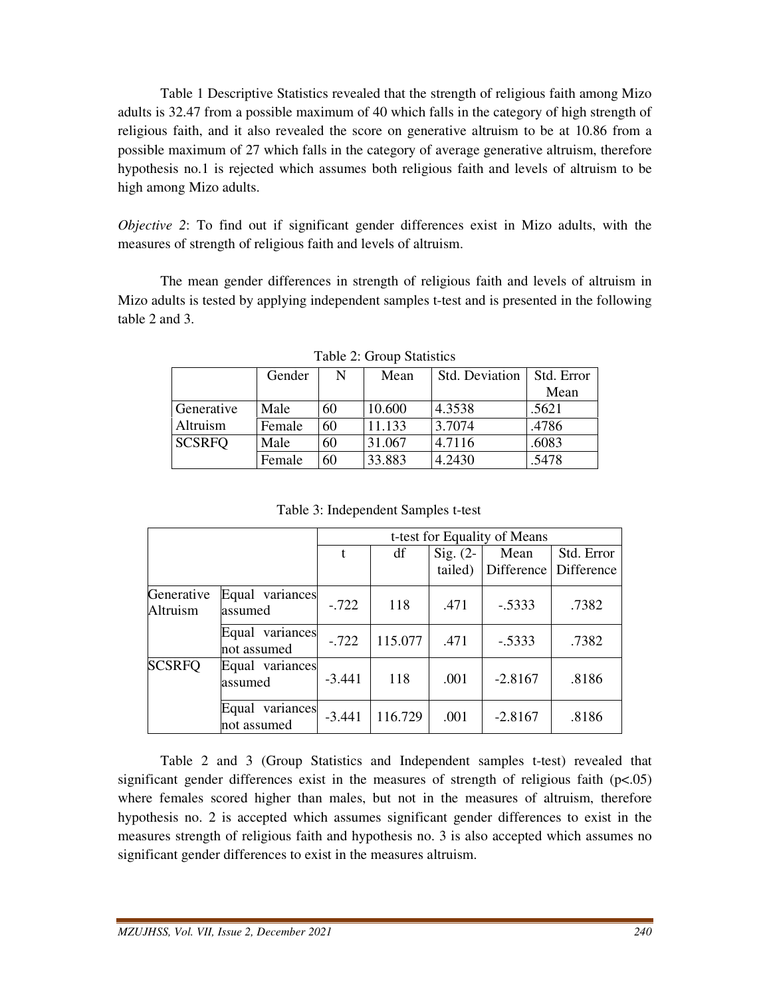Table 1 Descriptive Statistics revealed that the strength of religious faith among Mizo adults is 32.47 from a possible maximum of 40 which falls in the category of high strength of religious faith, and it also revealed the score on generative altruism to be at 10.86 from a possible maximum of 27 which falls in the category of average generative altruism, therefore hypothesis no.1 is rejected which assumes both religious faith and levels of altruism to be high among Mizo adults.

*Objective 2*: To find out if significant gender differences exist in Mizo adults, with the measures of strength of religious faith and levels of altruism.

 The mean gender differences in strength of religious faith and levels of altruism in Mizo adults is tested by applying independent samples t-test and is presented in the following table 2 and 3.

|               | Gender | N  | Mean   | Std. Deviation | Std. Error |
|---------------|--------|----|--------|----------------|------------|
|               |        |    |        |                | Mean       |
| Generative    | Male   | 60 | 10.600 | 4.3538         | .5621      |
| Altruism      | Female | 60 | 11.133 | 3.7074         | .4786      |
| <b>SCSRFO</b> | Male   | 60 | 31.067 | 4.7116         | .6083      |
|               | Female | 60 | 33.883 | 4.2430         | .5478      |

|                        |                                | t-test for Equality of Means |         |                       |           |                                     |  |  |
|------------------------|--------------------------------|------------------------------|---------|-----------------------|-----------|-------------------------------------|--|--|
|                        |                                | t                            | df      | Sig. $(2-$<br>tailed) | Mean      | Std. Error<br>Difference Difference |  |  |
| Generative<br>Altruism | Equal variances<br>assumed     | $-.722$                      | 118     | .471                  | $-.5333$  | .7382                               |  |  |
|                        | Equal variances<br>not assumed | $-.722$                      | 115.077 | .471                  | $-.5333$  | .7382                               |  |  |
| <b>SCSRFQ</b>          | Equal variances<br>assumed     | $-3.441$                     | 118     | .001                  | $-2.8167$ | .8186                               |  |  |
|                        | Equal variances<br>not assumed | $-3.441$                     | 116.729 | .001                  | $-2.8167$ | .8186                               |  |  |

Table 3: Independent Samples t-test

 Table 2 and 3 (Group Statistics and Independent samples t-test) revealed that significant gender differences exist in the measures of strength of religious faith  $(p<0.05)$ where females scored higher than males, but not in the measures of altruism, therefore hypothesis no. 2 is accepted which assumes significant gender differences to exist in the measures strength of religious faith and hypothesis no. 3 is also accepted which assumes no significant gender differences to exist in the measures altruism.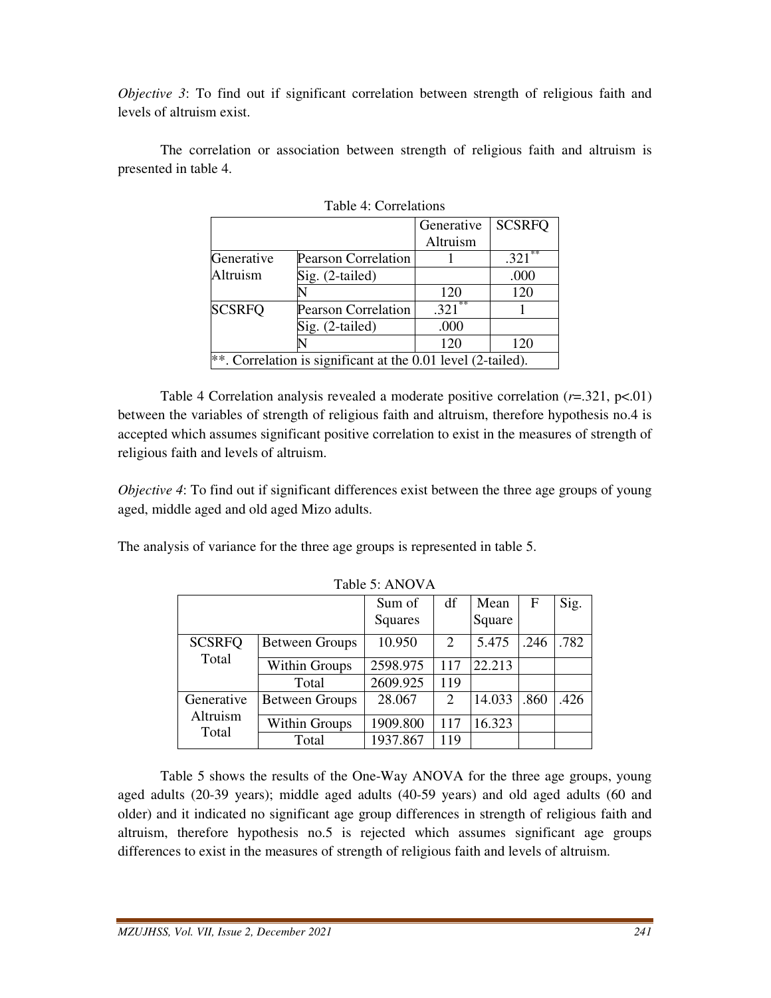*Objective 3*: To find out if significant correlation between strength of religious faith and levels of altruism exist.

 The correlation or association between strength of religious faith and altruism is presented in table 4.

| $1.400 \pm .1.001 \pm .000$                                  |                            |            |               |  |  |  |
|--------------------------------------------------------------|----------------------------|------------|---------------|--|--|--|
|                                                              |                            | Generative | <b>SCSRFQ</b> |  |  |  |
|                                                              |                            | Altruism   |               |  |  |  |
| Generative                                                   | <b>Pearson Correlation</b> |            | **<br>.321    |  |  |  |
| Altruism                                                     | $Sig. (2-tailed)$          |            | .000          |  |  |  |
|                                                              |                            | 120        | 120           |  |  |  |
| <b>SCSRFQ</b>                                                | <b>Pearson Correlation</b> | **<br>.321 |               |  |  |  |
|                                                              | Sig. (2-tailed)            | .000       |               |  |  |  |
|                                                              |                            | 120        | 120           |  |  |  |
| **. Correlation is significant at the 0.01 level (2-tailed). |                            |            |               |  |  |  |

Table 4: Correlations

Table 4 Correlation analysis revealed a moderate positive correlation  $(r=321, p<.01)$ between the variables of strength of religious faith and altruism, therefore hypothesis no.4 is accepted which assumes significant positive correlation to exist in the measures of strength of religious faith and levels of altruism.

*Objective 4*: To find out if significant differences exist between the three age groups of young aged, middle aged and old aged Mizo adults.

The analysis of variance for the three age groups is represented in table 5.

|                                 |                       | Sum of   | df  | Mean   | $\mathbf F$ | Sig. |
|---------------------------------|-----------------------|----------|-----|--------|-------------|------|
|                                 |                       | Squares  |     | Square |             |      |
| <b>SCSRFQ</b><br>Total          | <b>Between Groups</b> | 10.950   | 2   | 5.475  | .246        | .782 |
|                                 | Within Groups         | 2598.975 | 117 | 22.213 |             |      |
|                                 | Total                 | 2609.925 | 119 |        |             |      |
| Generative<br>Altruism<br>Total | <b>Between Groups</b> | 28.067   | 2   | 14.033 | .860        | .426 |
|                                 | Within Groups         | 1909.800 | 117 | 16.323 |             |      |
|                                 | Total                 | 1937.867 | 119 |        |             |      |

Table 5: ANOVA

 Table 5 shows the results of the One-Way ANOVA for the three age groups, young aged adults (20-39 years); middle aged adults (40-59 years) and old aged adults (60 and older) and it indicated no significant age group differences in strength of religious faith and altruism, therefore hypothesis no.5 is rejected which assumes significant age groups differences to exist in the measures of strength of religious faith and levels of altruism.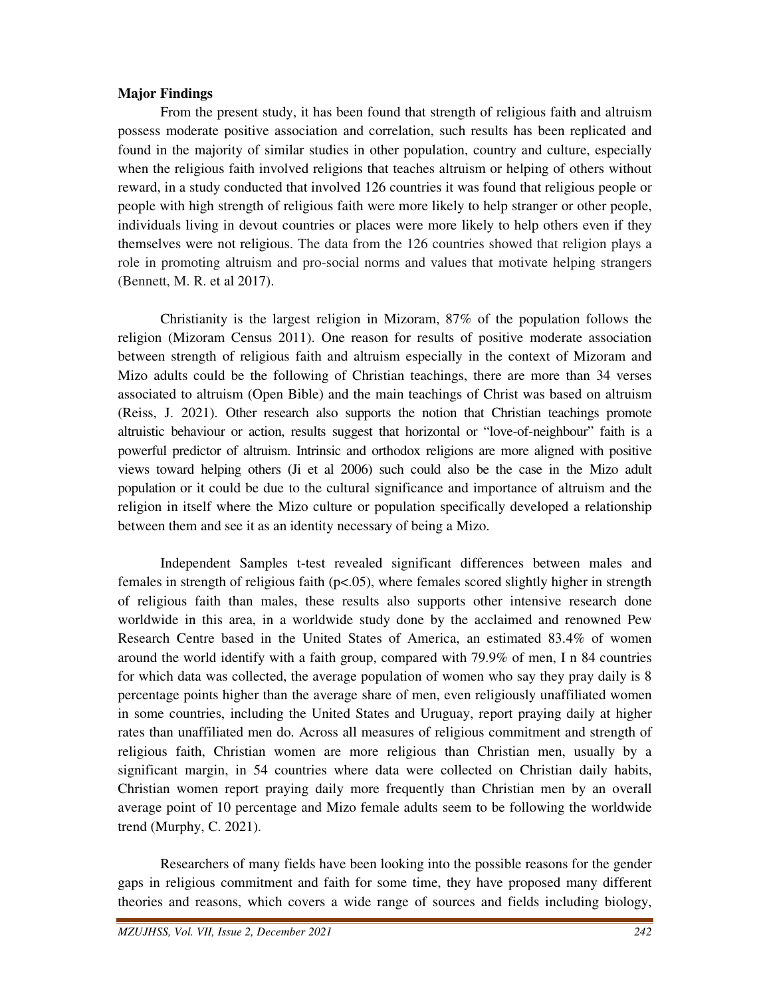# **Major Findings**

 From the present study, it has been found that strength of religious faith and altruism possess moderate positive association and correlation, such results has been replicated and found in the majority of similar studies in other population, country and culture, especially when the religious faith involved religions that teaches altruism or helping of others without reward, in a study conducted that involved 126 countries it was found that religious people or people with high strength of religious faith were more likely to help stranger or other people, individuals living in devout countries or places were more likely to help others even if they themselves were not religious. The data from the 126 countries showed that religion plays a role in promoting altruism and pro-social norms and values that motivate helping strangers (Bennett, M. R. et al 2017).

 Christianity is the largest religion in Mizoram, 87% of the population follows the religion (Mizoram Census 2011). One reason for results of positive moderate association between strength of religious faith and altruism especially in the context of Mizoram and Mizo adults could be the following of Christian teachings, there are more than 34 verses associated to altruism (Open Bible) and the main teachings of Christ was based on altruism (Reiss, J. 2021). Other research also supports the notion that Christian teachings promote altruistic behaviour or action, results suggest that horizontal or "love-of-neighbour" faith is a powerful predictor of altruism. Intrinsic and orthodox religions are more aligned with positive views toward helping others (Ji et al 2006) such could also be the case in the Mizo adult population or it could be due to the cultural significance and importance of altruism and the religion in itself where the Mizo culture or population specifically developed a relationship between them and see it as an identity necessary of being a Mizo.

 Independent Samples t-test revealed significant differences between males and females in strength of religious faith (p<.05), where females scored slightly higher in strength of religious faith than males, these results also supports other intensive research done worldwide in this area, in a worldwide study done by the acclaimed and renowned Pew Research Centre based in the United States of America, an estimated 83.4% of women around the world identify with a faith group, compared with 79.9% of men, I n 84 countries for which data was collected, the average population of women who say they pray daily is 8 percentage points higher than the average share of men, even religiously unaffiliated women in some countries, including the United States and Uruguay, report praying daily at higher rates than unaffiliated men do. Across all measures of religious commitment and strength of religious faith, Christian women are more religious than Christian men, usually by a significant margin, in 54 countries where data were collected on Christian daily habits, Christian women report praying daily more frequently than Christian men by an overall average point of 10 percentage and Mizo female adults seem to be following the worldwide trend (Murphy, C. 2021).

 Researchers of many fields have been looking into the possible reasons for the gender gaps in religious commitment and faith for some time, they have proposed many different theories and reasons, which covers a wide range of sources and fields including biology,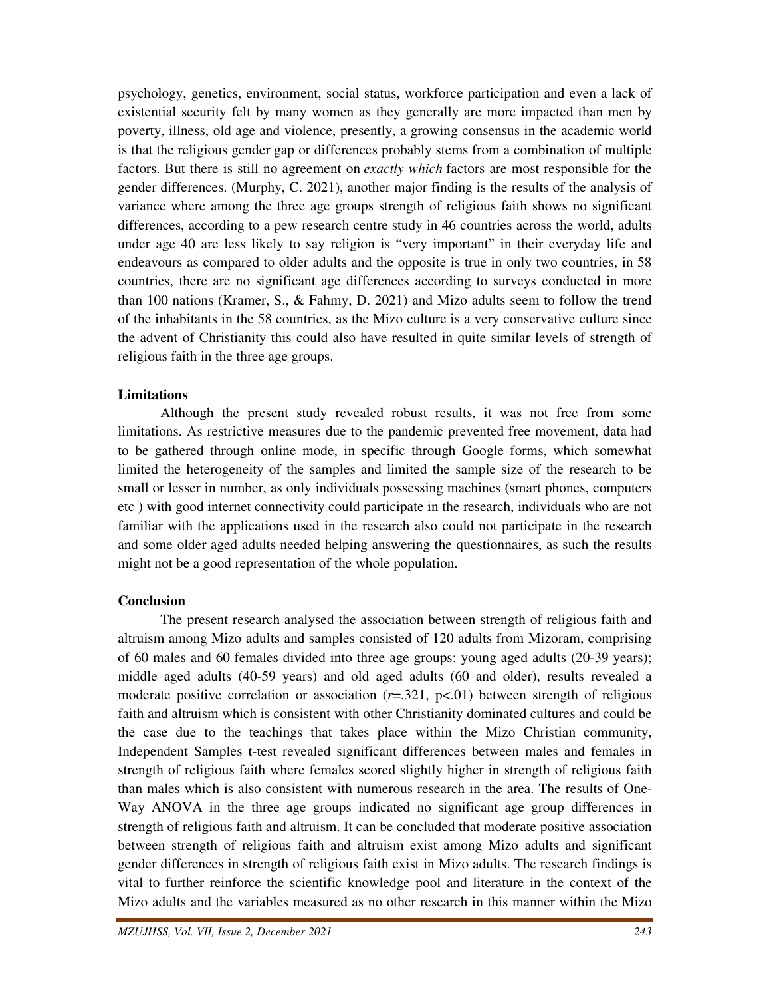psychology, genetics, environment, social status, workforce participation and even a lack of existential security felt by many women as they generally are more impacted than men by poverty, illness, old age and violence, presently, a growing consensus in the academic world is that the religious gender gap or differences probably stems from a combination of multiple factors. But there is still no agreement on *exactly which* factors are most responsible for the gender differences. (Murphy, C. 2021), another major finding is the results of the analysis of variance where among the three age groups strength of religious faith shows no significant differences, according to a pew research centre study in 46 countries across the world, adults under age 40 are less likely to say religion is "very important" in their everyday life and endeavours as compared to older adults and the opposite is true in only two countries, in 58 countries, there are no significant age differences according to surveys conducted in more than 100 nations (Kramer, S., & Fahmy, D. 2021) and Mizo adults seem to follow the trend of the inhabitants in the 58 countries, as the Mizo culture is a very conservative culture since the advent of Christianity this could also have resulted in quite similar levels of strength of religious faith in the three age groups.

#### **Limitations**

 Although the present study revealed robust results, it was not free from some limitations. As restrictive measures due to the pandemic prevented free movement, data had to be gathered through online mode, in specific through Google forms, which somewhat limited the heterogeneity of the samples and limited the sample size of the research to be small or lesser in number, as only individuals possessing machines (smart phones, computers etc ) with good internet connectivity could participate in the research, individuals who are not familiar with the applications used in the research also could not participate in the research and some older aged adults needed helping answering the questionnaires, as such the results might not be a good representation of the whole population.

# **Conclusion**

 The present research analysed the association between strength of religious faith and altruism among Mizo adults and samples consisted of 120 adults from Mizoram, comprising of 60 males and 60 females divided into three age groups: young aged adults (20-39 years); middle aged adults (40-59 years) and old aged adults (60 and older), results revealed a moderate positive correlation or association  $(r=.321, p<.01)$  between strength of religious faith and altruism which is consistent with other Christianity dominated cultures and could be the case due to the teachings that takes place within the Mizo Christian community, Independent Samples t-test revealed significant differences between males and females in strength of religious faith where females scored slightly higher in strength of religious faith than males which is also consistent with numerous research in the area. The results of One-Way ANOVA in the three age groups indicated no significant age group differences in strength of religious faith and altruism. It can be concluded that moderate positive association between strength of religious faith and altruism exist among Mizo adults and significant gender differences in strength of religious faith exist in Mizo adults. The research findings is vital to further reinforce the scientific knowledge pool and literature in the context of the Mizo adults and the variables measured as no other research in this manner within the Mizo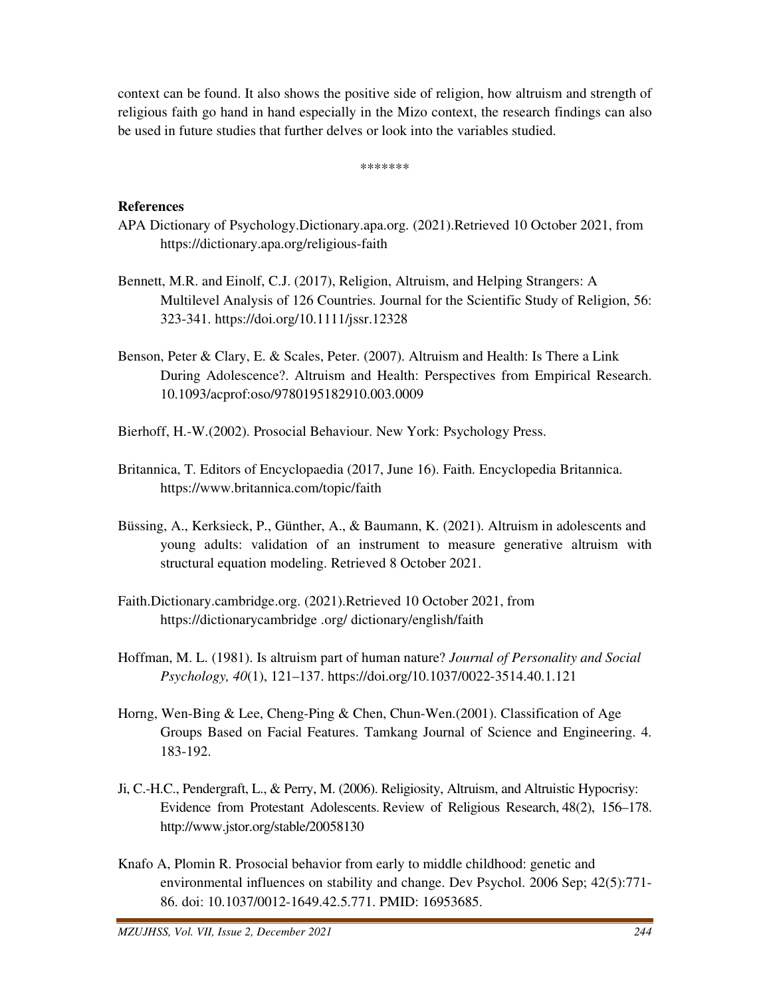context can be found. It also shows the positive side of religion, how altruism and strength of religious faith go hand in hand especially in the Mizo context, the research findings can also be used in future studies that further delves or look into the variables studied.

\*\*\*\*\*\*\*

# **References**

- APA Dictionary of Psychology.Dictionary.apa.org. (2021).Retrieved 10 October 2021, from https://dictionary.apa.org/religious-faith
- Bennett, M.R. and Einolf, C.J. (2017), Religion, Altruism, and Helping Strangers: A Multilevel Analysis of 126 Countries. Journal for the Scientific Study of Religion, 56: 323-341. https://doi.org/10.1111/jssr.12328
- Benson, Peter & Clary, E. & Scales, Peter. (2007). Altruism and Health: Is There a Link During Adolescence?. Altruism and Health: Perspectives from Empirical Research. 10.1093/acprof:oso/9780195182910.003.0009
- Bierhoff, H.-W.(2002). Prosocial Behaviour. New York: Psychology Press.
- Britannica, T. Editors of Encyclopaedia (2017, June 16). Faith. Encyclopedia Britannica. https://www.britannica.com/topic/faith
- Büssing, A., Kerksieck, P., Günther, A., & Baumann, K. (2021). Altruism in adolescents and young adults: validation of an instrument to measure generative altruism with structural equation modeling. Retrieved 8 October 2021.
- Faith.Dictionary.cambridge.org. (2021).Retrieved 10 October 2021, from https://dictionarycambridge .org/ dictionary/english/faith
- Hoffman, M. L. (1981). Is altruism part of human nature? *Journal of Personality and Social Psychology, 40*(1), 121–137. https://doi.org/10.1037/0022-3514.40.1.121
- Horng, Wen-Bing & Lee, Cheng-Ping & Chen, Chun-Wen.(2001). Classification of Age Groups Based on Facial Features. Tamkang Journal of Science and Engineering. 4. 183-192.
- Ji, C.-H.C., Pendergraft, L., & Perry, M. (2006). Religiosity, Altruism, and Altruistic Hypocrisy: Evidence from Protestant Adolescents. Review of Religious Research, 48(2), 156–178. http://www.jstor.org/stable/20058130
- Knafo A, Plomin R. Prosocial behavior from early to middle childhood: genetic and environmental influences on stability and change. Dev Psychol. 2006 Sep; 42(5):771- 86. doi: 10.1037/0012-1649.42.5.771. PMID: 16953685.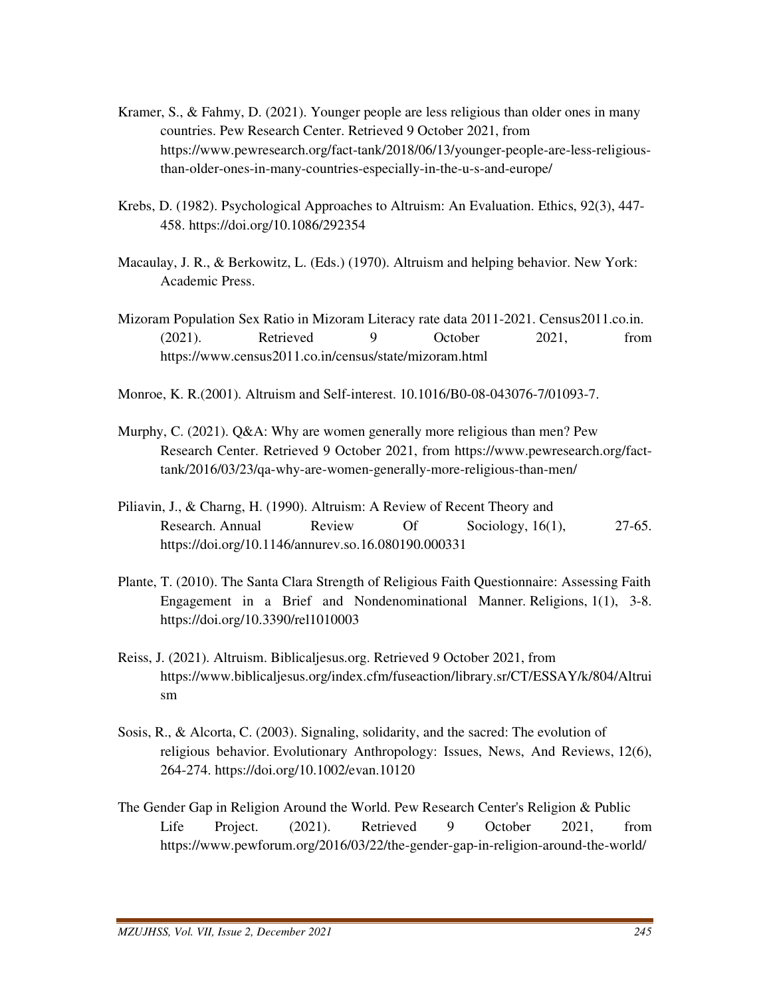- Kramer, S., & Fahmy, D. (2021). Younger people are less religious than older ones in many countries. Pew Research Center. Retrieved 9 October 2021, from https://www.pewresearch.org/fact-tank/2018/06/13/younger-people-are-less-religious than-older-ones-in-many-countries-especially-in-the-u-s-and-europe/
- Krebs, D. (1982). Psychological Approaches to Altruism: An Evaluation. Ethics, 92(3), 447- 458. https://doi.org/10.1086/292354
- Macaulay, J. R., & Berkowitz, L. (Eds.) (1970). Altruism and helping behavior. New York: Academic Press.
- Mizoram Population Sex Ratio in Mizoram Literacy rate data 2011-2021. Census2011.co.in. (2021). Retrieved 9 October 2021, from https://www.census2011.co.in/census/state/mizoram.html
- Monroe, K. R.(2001). Altruism and Self-interest. 10.1016/B0-08-043076-7/01093-7.
- Murphy, C. (2021). Q&A: Why are women generally more religious than men? Pew Research Center. Retrieved 9 October 2021, from https://www.pewresearch.org/fact tank/2016/03/23/qa-why-are-women-generally-more-religious-than-men/
- Piliavin, J., & Charng, H. (1990). Altruism: A Review of Recent Theory and Research. Annual Review Of Sociology, 16(1), 27-65. https://doi.org/10.1146/annurev.so.16.080190.000331
- Plante, T. (2010). The Santa Clara Strength of Religious Faith Questionnaire: Assessing Faith Engagement in a Brief and Nondenominational Manner. Religions, 1(1), 3-8. https://doi.org/10.3390/rel1010003
- Reiss, J. (2021). Altruism. Biblicaljesus.org. Retrieved 9 October 2021, from https://www.biblicaljesus.org/index.cfm/fuseaction/library.sr/CT/ESSAY/k/804/Altrui sm
- Sosis, R., & Alcorta, C. (2003). Signaling, solidarity, and the sacred: The evolution of religious behavior. Evolutionary Anthropology: Issues, News, And Reviews, 12(6), 264-274. https://doi.org/10.1002/evan.10120
- The Gender Gap in Religion Around the World. Pew Research Center's Religion & Public Life Project. (2021). Retrieved 9 October 2021, from https://www.pewforum.org/2016/03/22/the-gender-gap-in-religion-around-the-world/